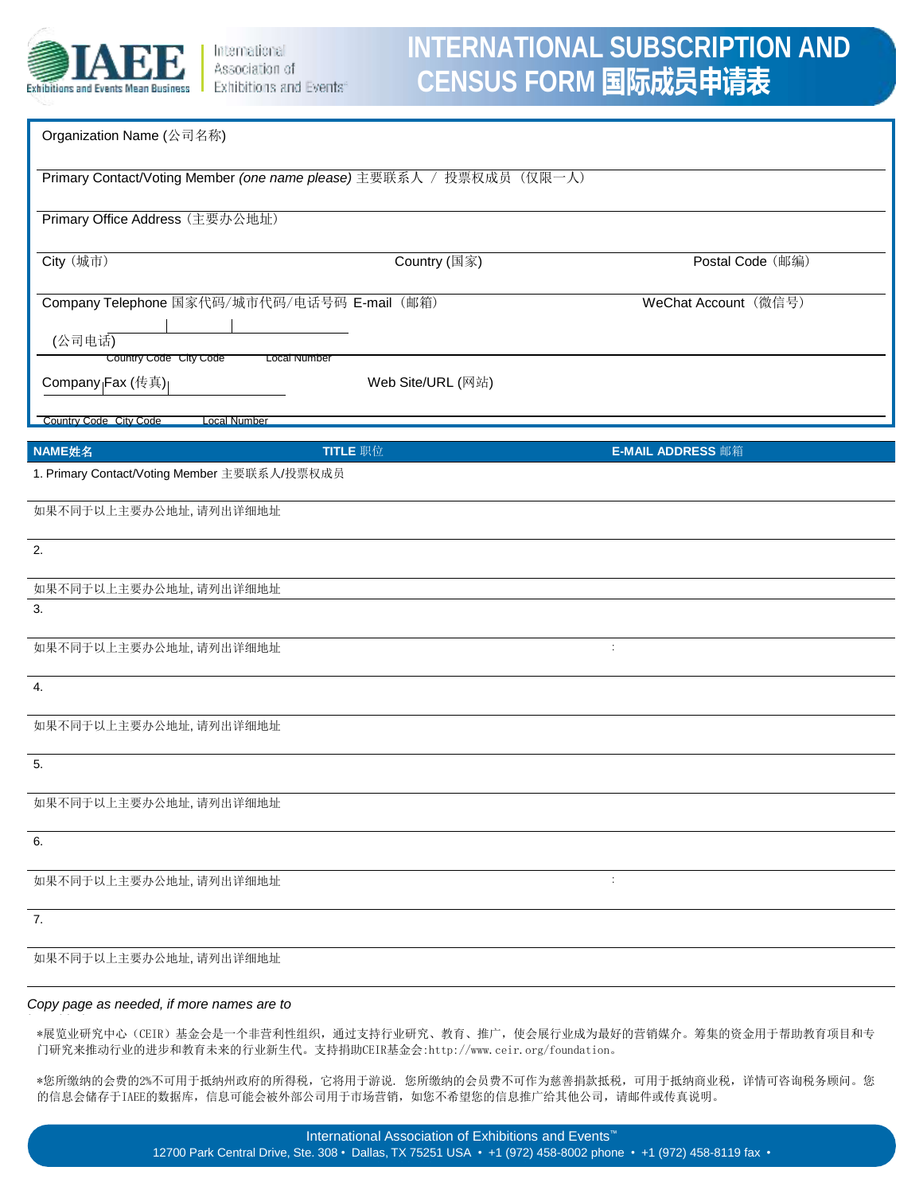

# **INTERNATIONAL SUBSCRIPTION AND CENSUS FORM 国际成员申请表**

| Organization Name (公司名称)                                                                                |                   |                          |  |  |  |  |
|---------------------------------------------------------------------------------------------------------|-------------------|--------------------------|--|--|--|--|
| Primary Contact/Voting Member (one name please) 主要联系人 / 投票权成员 (仅限一人)                                    |                   |                          |  |  |  |  |
| Primary Office Address (主要办公地址)                                                                         |                   |                          |  |  |  |  |
| City (城市)                                                                                               | Country (国家)      | Postal Code (邮编)         |  |  |  |  |
| Company Telephone 国家代码/城市代码/电话号码 E-mail (邮箱)<br>(公司电话)<br>Country Code City Code<br><b>Local Number</b> |                   | WeChat Account (微信号)     |  |  |  |  |
| Company <sub> </sub> Fax (传真) <sub> </sub>                                                              | Web Site/URL (网站) |                          |  |  |  |  |
| Country Code City Code<br><b>Local Number</b>                                                           |                   |                          |  |  |  |  |
| NAME姓名                                                                                                  | TITLE 职位          | <b>E-MAIL ADDRESS</b> 邮箱 |  |  |  |  |
| 1. Primary Contact/Voting Member 主要联系人/投票权成员                                                            |                   |                          |  |  |  |  |
| 如果不同于以上主要办公地址,请列出详细地址                                                                                   |                   |                          |  |  |  |  |
| 2.                                                                                                      |                   |                          |  |  |  |  |
| 如果不同于以上主要办公地址,请列出详细地址                                                                                   |                   |                          |  |  |  |  |
| 3.                                                                                                      |                   |                          |  |  |  |  |
| 如果不同于以上主要办公地址,请列出详细地址                                                                                   |                   | ÷                        |  |  |  |  |
| 4.                                                                                                      |                   |                          |  |  |  |  |
| 如果不同于以上主要办公地址,请列出详细地址                                                                                   |                   |                          |  |  |  |  |
| 5.                                                                                                      |                   |                          |  |  |  |  |
| 如果不同于以上主要办公地址,请列出详细地址                                                                                   |                   |                          |  |  |  |  |
| 6.                                                                                                      |                   |                          |  |  |  |  |
| 如果不同于以上主要办公地址,请列出详细地址                                                                                   |                   | $\ddot{\phantom{a}}$     |  |  |  |  |
| 7.                                                                                                      |                   |                          |  |  |  |  |
| 如果不同于以上主要办公地址,请列出详细地址                                                                                   |                   |                          |  |  |  |  |

#### *Copy page as needed, if more names are to*

\*展览业研究中心(CEIR)基金会是一个非营利性组织,通过支持行业研究、教育、推广,使会展行业成为最好的营销媒介。筹集的资金用于帮助教育项目和专 门研究来推动行业的进步和教育未来的行业新生代。支持捐助CEIR基金会:http://www.ceir.org/foundation。

\*您所缴纳的会费的2%不可用于抵纳州政府的所得税,它将用于游说. 您所缴纳的会员费不可作为慈善捐款抵税,可用于抵纳商业税,详情可咨询税务顾问。您 的信息会储存于IAEE的数据库,信息可能会被外部公司用于市场营销,如您不希望您的信息推广给其他公司,请邮件或传真说明。